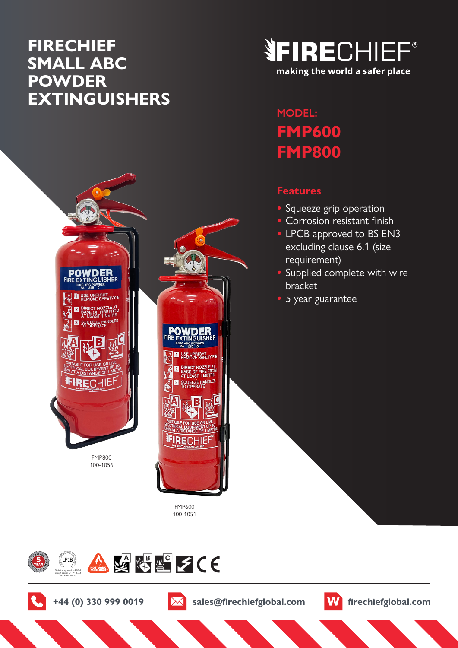# **FIRECHIEF SMALL ABC POWDER EXTINGUISHERS**



# **MODEL: FMP600 FMP800**

### **Features**

- **•** Squeeze grip operation
- **•** Corrosion resistant finish
- **•** LPCB approved to BS EN3 excluding clause 6.1 (size requirement)
- **•** Supplied complete with wire bracket
- **•** 5 year guarantee



SQUEEZE HANDLES FIRECHIE

> FMP600 100-1051





**+44 (0) 330 999 0019 sales@firechiefglobal.com firechiefglobal.com**